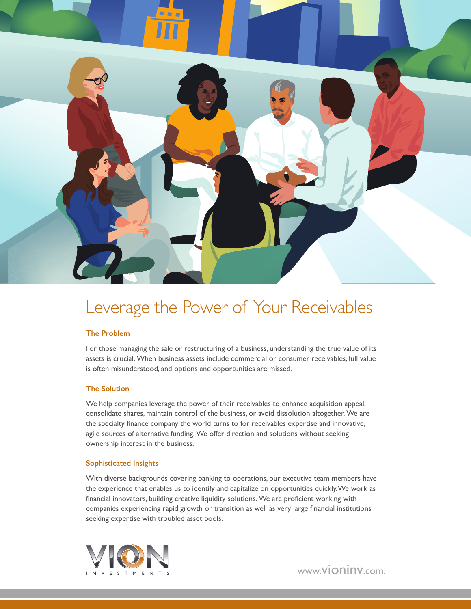

## Leverage the Power of Your Receivables

#### **The Problem**

For those managing the sale or restructuring of a business, understanding the true value of its assets is crucial. When business assets include commercial or consumer receivables, full value is often misunderstood, and options and opportunities are missed.

#### **The Solution**

We help companies leverage the power of their receivables to enhance acquisition appeal, consolidate shares, maintain control of the business, or avoid dissolution altogether. We are the specialty finance company the world turns to for receivables expertise and innovative, agile sources of alternative funding. We offer direction and solutions without seeking ownership interest in the business.

#### **Sophisticated Insights**

With diverse backgrounds covering banking to operations, our executive team members have the experience that enables us to identify and capitalize on opportunities quickly. We work as financial innovators, building creative liquidity solutions. We are proficient working with companies experiencing rapid growth or transition as well as very large financial institutions seeking expertise with troubled asset pools.



www.vioninv.com.